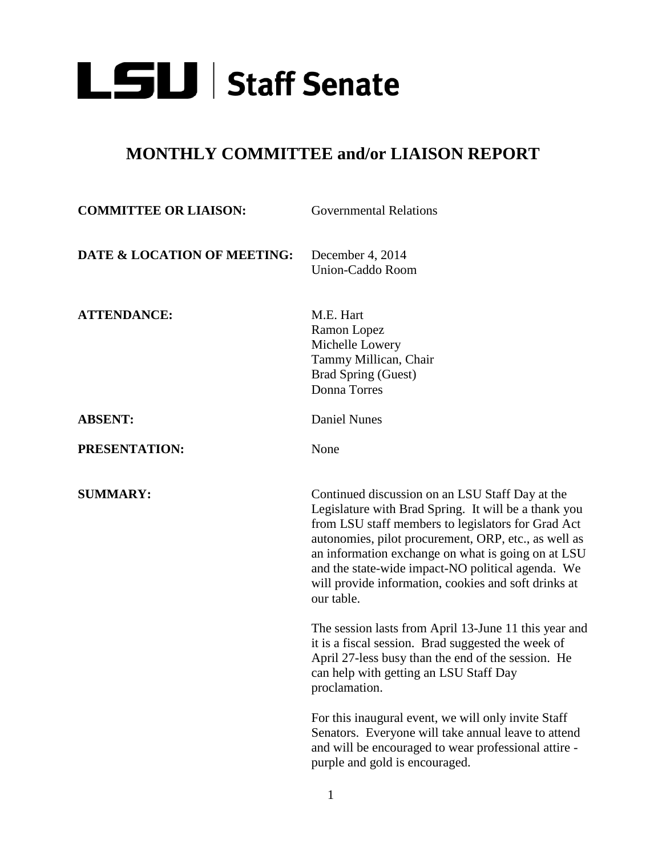

## **MONTHLY COMMITTEE and/or LIAISON REPORT**

| <b>COMMITTEE OR LIAISON:</b> | <b>Governmental Relations</b>                                                                                                                                                                                                                                                                                                                                                                          |
|------------------------------|--------------------------------------------------------------------------------------------------------------------------------------------------------------------------------------------------------------------------------------------------------------------------------------------------------------------------------------------------------------------------------------------------------|
| DATE & LOCATION OF MEETING:  | December 4, 2014<br>Union-Caddo Room                                                                                                                                                                                                                                                                                                                                                                   |
| <b>ATTENDANCE:</b>           | M.E. Hart<br>Ramon Lopez<br>Michelle Lowery<br>Tammy Millican, Chair<br><b>Brad Spring (Guest)</b><br>Donna Torres                                                                                                                                                                                                                                                                                     |
| <b>ABSENT:</b>               | <b>Daniel Nunes</b>                                                                                                                                                                                                                                                                                                                                                                                    |
| PRESENTATION:                | None                                                                                                                                                                                                                                                                                                                                                                                                   |
| <b>SUMMARY:</b>              | Continued discussion on an LSU Staff Day at the<br>Legislature with Brad Spring. It will be a thank you<br>from LSU staff members to legislators for Grad Act<br>autonomies, pilot procurement, ORP, etc., as well as<br>an information exchange on what is going on at LSU<br>and the state-wide impact-NO political agenda. We<br>will provide information, cookies and soft drinks at<br>our table. |
|                              | The session lasts from April 13-June 11 this year and<br>it is a fiscal session. Brad suggested the week of<br>April 27-less busy than the end of the session. He<br>can help with getting an LSU Staff Day<br>proclamation.                                                                                                                                                                           |
|                              | For this inaugural event, we will only invite Staff<br>Senators. Everyone will take annual leave to attend<br>and will be encouraged to wear professional attire -<br>purple and gold is encouraged.                                                                                                                                                                                                   |